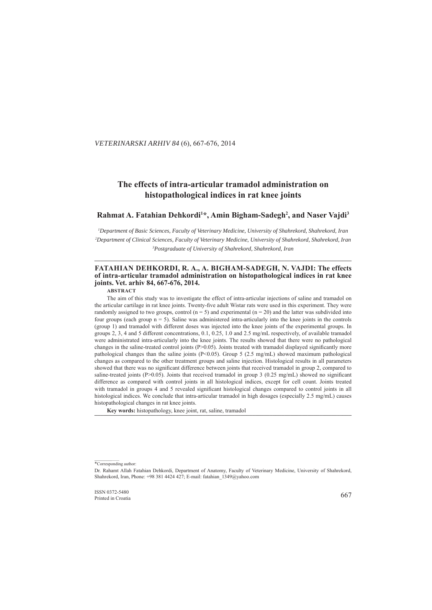## . *VETERINARSKI ARHIV 84* (6), 667-676, 2014

## **The effects of intra-articular tramadol administration on histopathological indices in rat knee joints istopathological**

# Rahmat A. Fatahian Dehkordi<sup>1\*</sup>, Amin Bigham-Sadegh<sup>2</sup>, and Naser Vajdi<sup>3</sup>

*1 Department of Basic Sciences, Faculty of Veterinary Medicine, University of Shahrekord, Shahrekord, Iran epartment 2 Department of Clinical Sciences, Faculty of Veterinary Medicine, University of Shahrekord, Shahrekord, Iran epartment 3 Postgraduate of University of Shahrekord, Shahrekord, Iran ostgraduate* 

**\_\_\_\_\_\_\_\_\_\_\_\_\_\_\_\_\_\_\_\_\_\_\_\_\_\_\_\_\_\_\_\_\_\_\_\_\_\_\_\_\_\_\_\_\_\_\_\_\_\_\_\_\_\_\_\_\_\_\_\_\_\_\_ \_\_\_\_\_\_\_\_\_\_\_\_\_\_\_\_\_\_\_\_\_\_\_\_\_\_\_\_\_\_\_\_\_\_\_\_\_\_\_\_\_\_\_\_\_\_\_\_\_\_\_\_\_\_\_\_\_\_\_\_\_\_\_\_\_\_\_\_\_\_\_\_\_\_\_\_\_\_\_\_\_\_\_\_\_\_\_ \_\_\_\_\_\_\_\_\_\_\_\_\_\_\_\_\_\_\_\_\_\_\_\_\_**

## FATAHIAN DEHKORDI, R. A., A. BIGHAM-SADEGH, N. VAJDI: The effects **of intra-articular tramadol administration on histopathological indices in rat knee joints. Vet. arhiv 84, 667-676, 2014.**

**ABSTRACT**

The aim of this study was to investigate the effect of intra-articular injections of saline and tramadol on the articular cartilage in rat knee joints. Twenty-five adult Wistar rats were used in this experiment. They were randomly assigned to two groups, control  $(n = 5)$  and experimental  $(n = 20)$  and the latter was subdivided into four groups (each group  $n = 5$ ). Saline was administered intra-articularly into the knee joints in the controls (group 1) and tramadol with different doses was injected into the knee joints of the experimental groups. In groups 2, 3, 4 and 5 different concentrations, 0.1, 0.25, 1.0 and 2.5 mg/mL respectively, of available tramadol were administrated intra-articularly into the knee joints. The results showed that there were no pathological changes in the saline-treated control joints (P>0.05). Joints treated with tramadol displayed significantly more pathological changes than the saline joints (P<0.05). Group 5 (2.5 mg/mL) showed maximum pathological changes as compared to the other treatment groups and saline injection. Histological results in all parameters showed that there was no significant difference between joints that received tramadol in group 2, compared to saline-treated joints (P>0.05). Joints that received tramadol in group 3 (0.25 mg/mL) showed no significant difference as compared with control joints in all histological indices, except for cell count. Joints treated with tramadol in groups 4 and 5 revealed significant histological changes compared to control joints in all histological indices. We conclude that intra-articular tramadol in high dosages (especially 2.5 mg/mL) causes histopathological changes in rat knee joints.

Key words: histopathology, knee joint, rat, saline, tramadol

 $\frac{1}{\text{SSN 0372-5480}}$  667 Printed in Croatia

<sup>\*</sup>Corresponding author:

Dr. Rahamt Allah Fatahian Dehkordi, Department of Anatomy, Faculty of Veterinary Medicine, University of Shahrekord, Shahrekord, Iran, Phone: +98 381 4424 427; E-mail: fatahian  $1349@$ yahoo.com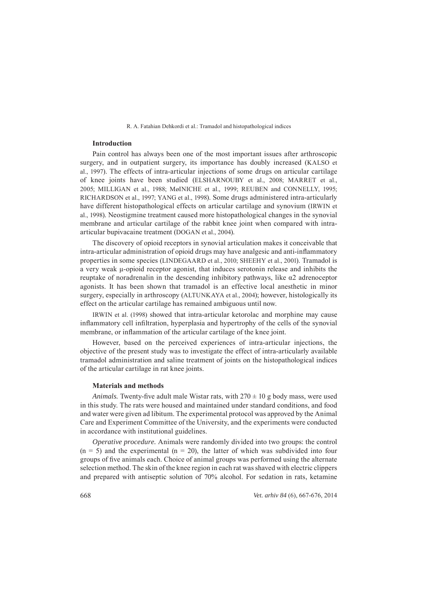## **Introduction ntroduction**

Pain control has always been one of the most important issues after arthroscopic surgery, and in outpatient surgery, its importance has doubly increased (KALSO et al., 1997). The effects of intra-articular injections of some drugs on articular cartilage of knee joints have been studied (ELSHARNOUBY et al., 2008; MARRET et al., 2005; MILLIGAN et al., 1988; MøINICHE et al., 1999; REUBEN and CONNELLY, 1995; RICHARDSON et al., 1997; YANG et al., 1998). Some drugs administered intra-articularly have different histopathological effects on articular cartilage and synovium (IRWIN et al., 1998). Neostigmine treatment caused more histopathological changes in the synovial membrane and articular cartilage of the rabbit knee joint when compared with intraarticular bupivacaine treatment (DOGAN et al., 2004).

The discovery of opioid receptors in synovial articulation makes it conceivable that intra-articular administration of opioid drugs may have analgesic and anti-inflammatory properties in some species (LINDEGAARD et al., 2010; SHEEHY et al., 2001). Tramadol is a very weak μ-opioid receptor agonist, that induces serotonin release and inhibits the reuptake of noradrenalin in the descending inhibitory pathways, like α2 adrenoceptor agonists. It has been shown that tramadol is an effective local anesthetic in minor surgery, especially in arthroscopy (ALTUNKAYA et al., 2004); however, histologically its effect on the articular cartilage has remained ambiguous until now.

IRWIN et al. (1998) showed that intra-articular ketorolac and morphine may cause inflammatory cell infiltration, hyperplasia and hypertrophy of the cells of the synovial membrane, or inflammation of the articular cartilage of the knee joint.

However, based on the perceived experiences of intra-articular injections, the objective of the present study was to investigate the effect of intra-articularly available tramadol administration and saline treatment of joints on the histopathological indices of the articular cartilage in rat knee joints.

## **Materials and methods**

*Animals.* Twenty-five adult male Wistar rats, with  $270 \pm 10$  g body mass, were used in this study. The rats were housed and maintained under standard conditions, and food and water were given ad libitum. The experimental protocol was approved by the Animal Care and Experiment Committee of the University, and the experiments were conducted in accordance with institutional guidelines.

*Operative procedure.* Animals were randomly divided into two groups: the control  $(n = 5)$  and the experimental  $(n = 20)$ , the latter of which was subdivided into four groups of five animals each. Choice of animal groups was performed using the alternate selection method. The skin of the knee region in each rat was shaved with electric clippers and prepared with antiseptic solution of 70% alcohol. For sedation in rats, ketamine

668 *Vet. arhiv 84* (6), 667-676, 2014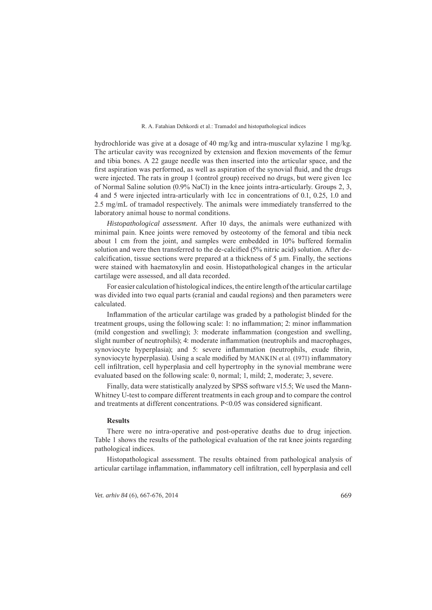hydrochloride was give at a dosage of 40 mg/kg and intra-muscular xylazine 1 mg/kg. The articular cavity was recognized by extension and flexion movements of the femur and tibia bones. A 22 gauge needle was then inserted into the articular space, and the first aspiration was performed, as well as aspiration of the synovial fluid, and the drugs were injected. The rats in group 1 (control group) received no drugs, but were given 1cc of Normal Saline solution (0.9% NaCl) in the knee joints intra-articularly. Groups 2, 3, 4 and 5 were injected intra-articularly with 1cc in concentrations of 0.1, 0.25, 1.0 and 2.5 mg/mL of tramadol respectively. The animals were immediately transferred to the laboratory animal house to normal conditions.

*Histopathological assessment.* After 10 days, the animals were euthanized with minimal pain. Knee joints were removed by osteotomy of the femoral and tibia neck about 1 cm from the joint, and samples were embedded in 10% buffered formalin solution and were then transferred to the de-calcified (5% nitric acid) solution. After decalcification, tissue sections were prepared at a thickness of  $5 \mu m$ . Finally, the sections were stained with haematoxylin and eosin. Histopathological changes in the articular cartilage were assessed, and all data recorded.

For easier calculation of histological indices, the entire length of the articular cartilage was divided into two equal parts (cranial and caudal regions) and then parameters were calculated.

Inflammation of the articular cartilage was graded by a pathologist blinded for the treatment groups, using the following scale: 1: no inflammation; 2: minor inflammation (mild congestion and swelling); 3: moderate inflammation (congestion and swelling, slight number of neutrophils); 4: moderate inflammation (neutrophils and macrophages, synoviocyte hyperplasia); and 5: severe inflammation (neutrophils, exude fibrin, synoviocyte hyperplasia). Using a scale modified by MANKIN et al. (1971) inflammatory cell infiltration, cell hyperplasia and cell hypertrophy in the synovial membrane were evaluated based on the following scale: 0, normal; 1, mild; 2, moderate; 3, severe.

Finally, data were statistically analyzed by SPSS software v15.5; We used the Mann-Whitney U-test to compare different treatments in each group and to compare the control and treatments at different concentrations. P<0.05 was considered significant.

### **Results**

There were no intra-operative and post-operative deaths due to drug injection. Table 1 shows the results of the pathological evaluation of the rat knee joints regarding pathological indices.

Histopathological assessment. The results obtained from pathological analysis of articular cartilage inflammation, inflammatory cell infiltration, cell hyperplasia and cell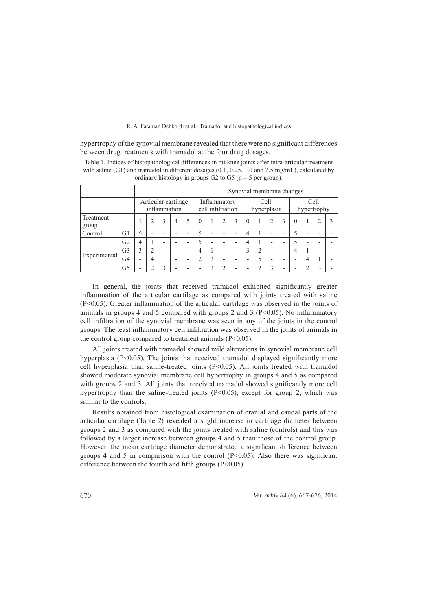hypertrophy of the synovial membrane revealed that there were no significant differences between drug treatments with tramadol at the four drug dosages.

Table 1. Indices of histopathological differences in rat knee joints after intra-articular treatment with saline (G1) and tramadol in different dosages (0.1, 0.25, 1.0 and 2.5 mg/mL), calculated by ordinary histology in groups  $G2$  to  $G5$  (n = 5 per group).

|                    |                |                          |                          |                          |                          |                          | Synovial membrane changes         |                          |                          |                          |                |                |                          |                          |          |                          |                          |  |
|--------------------|----------------|--------------------------|--------------------------|--------------------------|--------------------------|--------------------------|-----------------------------------|--------------------------|--------------------------|--------------------------|----------------|----------------|--------------------------|--------------------------|----------|--------------------------|--------------------------|--|
|                    |                |                          | Articular cartilage      |                          | inflammation             |                          | Inflammatory<br>cell infiltration |                          |                          | Cell<br>hyperplasia      |                |                | Cell<br>hypertrophy      |                          |          |                          |                          |  |
| Treatment<br>group |                |                          | 2                        | 3                        | $\overline{4}$           | 5                        | $\Omega$                          |                          | $\overline{c}$           | 3                        | $\Omega$       |                |                          | 3                        | $\theta$ |                          | 2                        |  |
| Control            | G1             | 5                        | $\overline{\phantom{0}}$ | $\overline{\phantom{0}}$ | $\overline{\phantom{0}}$ | $\overline{\phantom{0}}$ | $\overline{\phantom{0}}$          | $\overline{\phantom{0}}$ | $\overline{\phantom{0}}$ | $\overline{\phantom{0}}$ | $\overline{4}$ |                | $\overline{\phantom{0}}$ | -                        | 5        | $\overline{\phantom{0}}$ | $\overline{\phantom{0}}$ |  |
| Experimental       | G <sub>2</sub> | $\overline{4}$           |                          | $\overline{\phantom{0}}$ | $\overline{\phantom{a}}$ | ۰                        | 5                                 | $\overline{\phantom{0}}$ | -                        | $\overline{\phantom{a}}$ | 4              |                | -                        |                          | 5        | $\overline{\phantom{0}}$ | $\overline{\phantom{a}}$ |  |
|                    | G <sub>3</sub> | 3                        | 2                        | $\overline{\phantom{0}}$ | $\overline{\phantom{0}}$ | ۰                        | 4                                 |                          | -                        | $\overline{\phantom{0}}$ | 3              | $\overline{2}$ | $\overline{\phantom{a}}$ |                          | 4        |                          | $\overline{\phantom{0}}$ |  |
|                    | G4             | $\overline{\phantom{0}}$ | 4                        |                          | $\overline{\phantom{0}}$ | $\overline{\phantom{0}}$ | ◠                                 | 3                        | $\overline{\phantom{0}}$ | $\overline{\phantom{0}}$ |                | 5              | $\overline{\phantom{0}}$ | $\overline{\phantom{0}}$ |          | 4                        |                          |  |
|                    | G5             | -                        | ↑                        | 3                        | $\overline{\phantom{0}}$ | ۰                        | $\overline{\phantom{0}}$          | 3                        | ↑                        | $\overline{\phantom{0}}$ |                | ◠              | 3                        | -                        |          | $\overline{c}$           | 3                        |  |

In general, the joints that received tramadol exhibited significantly greater inflammation of the articular cartilage as compared with joints treated with saline  $(P<0.05)$ . Greater inflammation of the articular cartilage was observed in the joints of animals in groups 4 and 5 compared with groups 2 and 3 ( $P<0.05$ ). No inflammatory cell infiltration of the synovial membrane was seen in any of the joints in the control groups. The least inflammatory cell infiltration was observed in the joints of animals in the control group compared to treatment animals (P<0.05).

All joints treated with tramadol showed mild alterations in synovial membrane cell hyperplasia ( $P \le 0.05$ ). The joints that received tramadol displayed significantly more cell hyperplasia than saline-treated joints (P<0.05). All joints treated with tramadol showed moderate synovial membrane cell hypertrophy in groups 4 and 5 as compared with groups 2 and 3. All joints that received tramadol showed significantly more cell hypertrophy than the saline-treated joints  $(P<0.05)$ , except for group 2, which was similar to the controls.

Results obtained from histological examination of cranial and caudal parts of the articular cartilage (Table 2) revealed a slight increase in cartilage diameter between groups 2 and 3 as compared with the joints treated with saline (controls) and this was followed by a larger increase between groups 4 and 5 than those of the control group. However, the mean cartilage diameter demonstrated a significant difference between groups 4 and 5 in comparison with the control  $(P<0.05)$ . Also there was significant difference between the fourth and fifth groups  $(P<0.05)$ .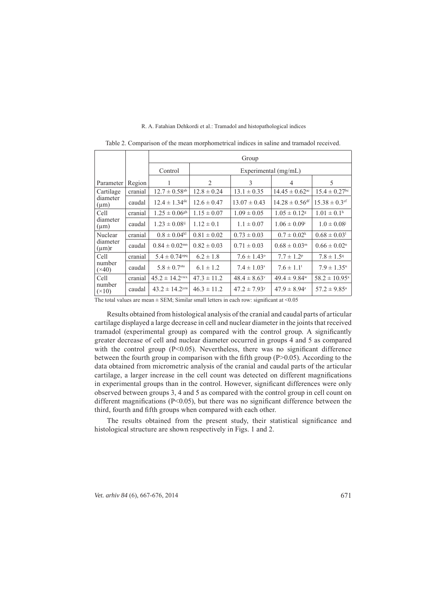|                                    |         | Group                          |                        |                              |                                |                               |  |  |  |  |  |
|------------------------------------|---------|--------------------------------|------------------------|------------------------------|--------------------------------|-------------------------------|--|--|--|--|--|
|                                    |         | Control                        | Experimental $(mg/mL)$ |                              |                                |                               |  |  |  |  |  |
| Parameter                          | Region  | 1                              | 2                      | 3                            | $\overline{4}$                 | 5                             |  |  |  |  |  |
| Cartilage<br>diameter<br>$(\mu m)$ | cranial | $12.7 \pm 0.58$ <sup>ab</sup>  | $12.8 \pm 0.24$        | $13.1 \pm 0.35$              | $14.45 \pm 0.62$ <sup>ac</sup> | $15.4 \pm 0.27$ <sup>bc</sup> |  |  |  |  |  |
|                                    | caudal  | $12.4 \pm 1.34^{\text{de}}$    | $12.6 \pm 0.47$        | $13.07 \pm 0.43$             | $14.28 \pm 0.56$ <sup>df</sup> | $15.38 \pm 0.3$ <sup>ef</sup> |  |  |  |  |  |
| Cell<br>diameter<br>$(\mu m)$      | cranial | $1.25 \pm 0.06$ <sup>gh</sup>  | $1.15 \pm 0.07$        | $1.09 \pm 0.05$              | $1.05 \pm 0.12$ <sup>g</sup>   | $1.01 \pm 0.1$ <sup>h</sup>   |  |  |  |  |  |
|                                    | caudal  | $1.23 \pm 0.08^{i}$            | $1.12 \pm 0.1$         | $1.1 \pm 0.07$               | $1.06 \pm 0.09^{\mathrm{i}}$   | $1.0 \pm 0.08$                |  |  |  |  |  |
| Nuclear<br>diameter<br>$(\mu m)r$  | cranial | $0.8 \pm 0.04^{kl}$            | $0.81 \pm 0.02$        | $0.73 \pm 0.03$              | $0.7 \pm 0.02^k$               | $0.68 \pm 0.03$               |  |  |  |  |  |
|                                    | caudal  | $0.84 \pm 0.02$ <sup>mn</sup>  | $0.82 \pm 0.03$        | $0.71 \pm 0.03$              | $0.68 \pm 0.03^m$              | $0.66 \pm 0.02$ <sup>n</sup>  |  |  |  |  |  |
| Cell<br>number<br>$(\times 40)$    | cranial | $5.4 \pm 0.74$ <sup>opq</sup>  | $6.2 \pm 1.8$          | $7.6 \pm 1.43$ °             | $7.7 \pm 1.2^p$                | $7.8 \pm 1.5$ <sup>q</sup>    |  |  |  |  |  |
|                                    | caudal  | $5.8 \pm 0.7$ <sup>stu</sup>   | $6.1 \pm 1.2$          | $7.4 \pm 1.03$ <sup>s</sup>  | $7.6 \pm 1.1$ <sup>t</sup>     | $7.9 \pm 1.35^u$              |  |  |  |  |  |
| Cell<br>number<br>$(\times 10)$    | cranial | $45.2 \pm 14.2$ <sup>vwx</sup> | $47.3 \pm 11.2$        | $48.4 \pm 8.63$ <sup>v</sup> | $49.4 \pm 9.84$ <sup>w</sup>   | $58.2 \pm 10.95^x$            |  |  |  |  |  |
|                                    | caudal  | $43.2 \pm 14.2$ <sup>yza</sup> | $46.3 \pm 11.2$        | $47.2 \pm 7.93$ <sup>y</sup> | $47.9 \pm 8.94^z$              | $57.2 \pm 9.85^{\text{a}}$    |  |  |  |  |  |

Table 2. Comparison of the mean morphometrical indices in saline and tramadol received.

The total values are mean  $\pm$  SEM; Similar small letters in each row: significant at <0.05

Results obtained from histological analysis of the cranial and caudal parts of articular cartilage displayed a large decrease in cell and nuclear diameter in the joints that received tramadol (experimental group) as compared with the control group. A significantly greater decrease of cell and nuclear diameter occurred in groups 4 and 5 as compared with the control group ( $P<0.05$ ). Nevertheless, there was no significant difference between the fourth group in comparison with the fifth group  $(P>0.05)$ . According to the data obtained from micrometric analysis of the cranial and caudal parts of the articular cartilage, a larger increase in the cell count was detected on different magnifications in experimental groups than in the control. However, significant differences were only observed between groups 3, 4 and 5 as compared with the control group in cell count on different magnifications (P<0.05), but there was no significant difference between the third, fourth and fifth groups when compared with each other.

The results obtained from the present study, their statistical significance and histological structure are shown respectively in Figs. 1 and 2.

*Vet. arhiv 84* (6), 667-676, 2014 671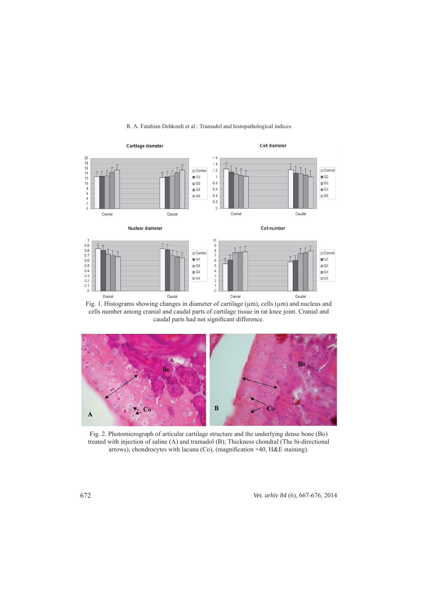

Fig. 1. Histograms showing changes in diameter of cartilage (μm), cells (μm) and nucleus and cells number among cranial and caudal parts of cartilage tissue in rat knee joint. Cranial and caudal parts had not significant difference.



Fig. 2. Photomicrograph of articular cartilage structure and the underlying dense bone (Bo) treated with injection of saline (A) and tramadol (B); Thickness chondral (The bi-directional arrows), chondrocytes with lacuna (Co), (magnification  $\times$ 40, H&E staining).

672 *Vet. arhiv 84* (6), 667-676, 2014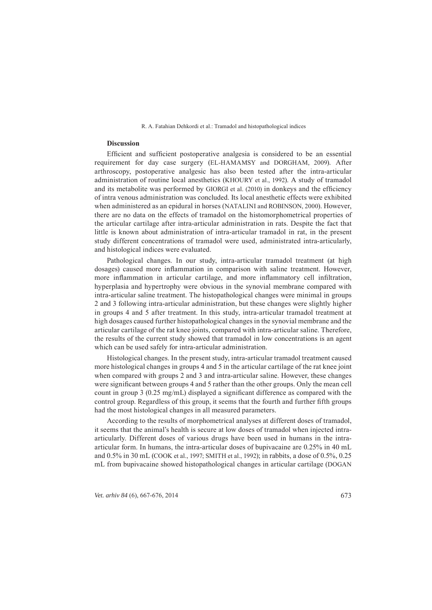## **Discussion**

Efficient and sufficient postoperative analgesia is considered to be an essential requirement for day case surgery (EL-HAMAMSY and DORGHAM, 2009). After arthroscopy, postoperative analgesic has also been tested after the intra-articular administration of routine local anesthetics (KHOURY et al., 1992). A study of tramadol and its metabolite was performed by GIORGI et al. (2010) in donkeys and the efficiency of intra venous administration was concluded. Its local anesthetic effects were exhibited when administered as an epidural in horses (NATALINI and ROBINSON, 2000). However, there are no data on the effects of tramadol on the histomorphometrical properties of the articular cartilage after intra-articular administration in rats. Despite the fact that little is known about administration of intra-articular tramadol in rat, in the present study different concentrations of tramadol were used, administrated intra-articularly, and histological indices were evaluated.

Pathological changes. In our study, intra-articular tramadol treatment (at high dosages) caused more inflammation in comparison with saline treatment. However, more inflammation in articular cartilage, and more inflammatory cell infiltration, hyperplasia and hypertrophy were obvious in the synovial membrane compared with intra-articular saline treatment. The histopathological changes were minimal in groups 2 and 3 following intra-articular administration, but these changes were slightly higher in groups 4 and 5 after treatment. In this study, intra-articular tramadol treatment at high dosages caused further histopathological changes in the synovial membrane and the articular cartilage of the rat knee joints, compared with intra-articular saline. Therefore, the results of the current study showed that tramadol in low concentrations is an agent which can be used safely for intra-articular administration.

Histological changes. In the present study, intra-articular tramadol treatment caused more histological changes in groups 4 and 5 in the articular cartilage of the rat knee joint when compared with groups 2 and 3 and intra-articular saline. However, these changes were significant between groups 4 and 5 rather than the other groups. Only the mean cell count in group 3 (0.25 mg/mL) displayed a significant difference as compared with the control group. Regardless of this group, it seems that the fourth and further fifth groups had the most histological changes in all measured parameters.

According to the results of morphometrical analyses at different doses of tramadol, it seems that the animal's health is secure at low doses of tramadol when injected intraarticularly. Different doses of various drugs have been used in humans in the intraarticular form. In humans, the intra-articular doses of bupivacaine are 0.25% in 40 mL and 0.5% in 30 mL (COOK et al., 1997; SMITH et al., 1992); in rabbits, a dose of 0.5%, 0.25 mL from bupivacaine showed histopathological changes in articular cartilage (DOGAN

*Vet. arhiv 84* (6), 667-676, 2014 673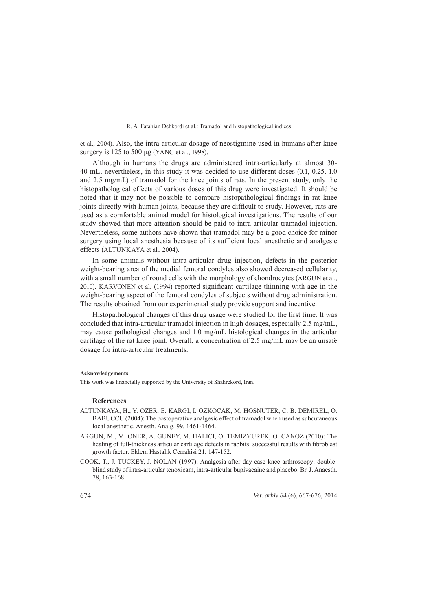et al., 2004). Also, the intra-articular dosage of neostigmine used in humans after knee surgery is 125 to 500 μg (YANG et al., 1998).

Although in humans the drugs are administered intra-articularly at almost 30- 40 mL, nevertheless, in this study it was decided to use different doses (0.1, 0.25, 1.0 and 2.5 mg/mL) of tramadol for the knee joints of rats. In the present study, only the histopathological effects of various doses of this drug were investigated. It should be noted that it may not be possible to compare histopathological findings in rat knee joints directly with human joints, because they are difficult to study. However, rats are used as a comfortable animal model for histological investigations. The results of our study showed that more attention should be paid to intra-articular tramadol injection. Nevertheless, some authors have shown that tramadol may be a good choice for minor surgery using local anesthesia because of its sufficient local anesthetic and analgesic effects (ALTUNKAYA et al., 2004).

In some animals without intra-articular drug injection, defects in the posterior weight-bearing area of the medial femoral condyles also showed decreased cellularity, with a small number of round cells with the morphology of chondrocytes (ARGUN et al., 2010). KARVONEN et al. (1994) reported significant cartilage thinning with age in the weight-bearing aspect of the femoral condyles of subjects without drug administration. The results obtained from our experimental study provide support and incentive.

Histopathological changes of this drug usage were studied for the first time. It was concluded that intra-articular tramadol injection in high dosages, especially 2.5 mg/mL, may cause pathological changes and 1.0 mg/mL histological changes in the articular cartilage of the rat knee joint. Overall, a concentration of 2.5 mg/mL may be an unsafe dosage for intra-articular treatments.

#### **Acknowledgements**

This work was financially supported by the University of Shahrekord, Iran.

## **References**

- A LTUNKAYA, H., Y. OZER, E. KARGI, I. OZKOCAK, M. HOSNUTER, C. B. DEMIREL, O. BABUCCU (2004): The postoperative analgesic effect of tramadol when used as subcutaneous local anesthetic. Anesth. Analg. 99, 1461-1464.
- A RGUN, M., M. ONER, A. GUNEY, M. HALICI, O. TEMIZYUREK, O. CANOZ (2010): The healing of full-thickness articular cartilage defects in rabbits: successful results with fibroblast growth factor. Eklem Hastalik Cerrahisi 21, 147-152.
- C OOK, T., J. TUCKEY, J. NOLAN (1997): Analgesia after day-case knee arthroscopy: doubleblind study of intra-articular tenoxicam, intra-articular bupivacaine and placebo. Br. J. Anaesth. 78, 163-168.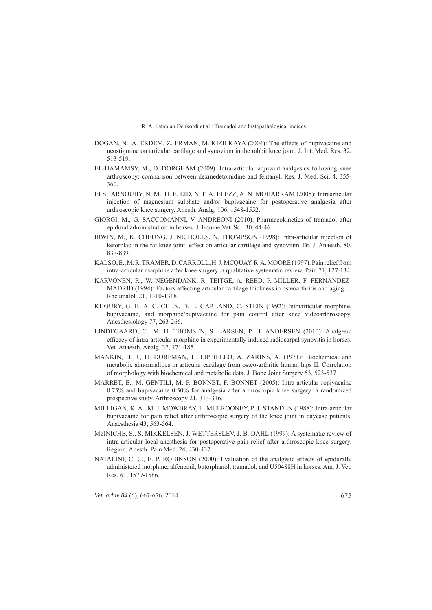- DOGAN, N., A. ERDEM, Z. ERMAN, M. KIZILKAYA (2004): The effects of bupivacaine and neostigmine on articular cartilage and synovium in the rabbit knee joint. J. Int. Med. Res. 32, 513-519.
- E L-HAMAMSY, M., D. DORGHAM (2009): Intra-articular adjuvant analgesics following knee arthroscopy: comparison between dexmedetomidine and fentanyl. Res. J. Med. Sci. 4, 355- 360.
- E LSHARNOUBY, N. M., H. E. EID, N. F. A. ELEZZ, A. N. MOHARRAM (2008): Intraarticular injection of magnesium sulphate and/or bupivacaine for postoperative analgesia after arthroscopic knee surgery. Anesth. Analg. 106, 1548-1552.
- GIORGI, M., G. SACCOMANNI, V. ANDREONI (2010): Pharmacokinetics of tramadol after epidural administration in horses. J. Equine Vet. Sci. 30, 44-46.
- IRWIN, M., K. CHEUNG, J. NICHOLLS, N. THOMPSON (1998): Intra-articular injection of ketorolac in the rat knee joint: effect on articular cartilage and synovium. Br. J. Anaesth. 80, 837-839.
- K ALSO, E., M. R. TRAMER, D. CARROLL, H. J. MCQUAY, R. A. MOORE (1997): Pain relief from intra-articular morphine after knee surgery: a qualitative systematic review. Pain 71, 127-134.
- KARVONEN, R., W. NEGENDANK, R. TEITGE, A. REED, P. MILLER, F. FERNANDEZ-MADRID (1994): Factors affecting articular cartilage thickness in osteoarthritis and aging. J. Rheumatol. 21, 1310-1318.
- K HOURY, G. F., A. C. CHEN, D. E. GARLAND, C. STEIN (1992): Intraarticular morphine, bupivacaine, and morphine/bupivacaine for pain control after knee videoarthroscopy. Anesthesiology 77, 263-266.
- LINDEGAARD, C., M. H. THOMSEN, S. LARSEN, P. H. ANDERSEN (2010): Analgesic efficacy of intra-articular morphine in experimentally induced radiocarpal synovitis in horses. Vet. Anaesth. Analg. 37, 171-185.
- MANKIN, H. J., H. DORFMAN, L. LIPPIELLO, A. ZARINS, A. (1971): Biochemical and metabolic abnormalities in articular cartilage from osteo-arthritic human hips II. Correlation of morphology with biochemical and metabolic data. J. Bone Joint Surgery 53, 523-537.
- M ARRET, E., M. GENTILI, M. P. BONNET, F. BONNET (2005): Intra-articular ropivacaine 0.75% and bupivacaine 0.50% for analgesia after arthroscopic knee surgery: a randomized prospective study. Arthroscopy 21, 313-316.
- M ILLIGAN, K. A., M. J. MOWBRAY, L. MULROONEY, P. J. STANDEN (1988): Intra-articular bupivacaine for pain relief after arthroscopic surgery of the knee joint in daycase patients. Anaesthesia 43, 563-564.
- M øINICHE, S., S. MIKKELSEN, J. WETTERSLEV, J. B. DAHL (1999): A systematic review of intra-articular local anesthesia for postoperative pain relief after arthroscopic knee surgery. Region. Anesth. Pain Med. 24, 430-437.
- NATALINI, C. C., E. P. ROBINSON (2000): Evaluation of the analgesic effects of epidurally administered morphine, alfentanil, butorphanol, tramadol, and U50488H in horses. Am. J. Vet. Res. 61, 1579-1586.

*Vet. arhiv 84* (6), 667-676, 2014 675